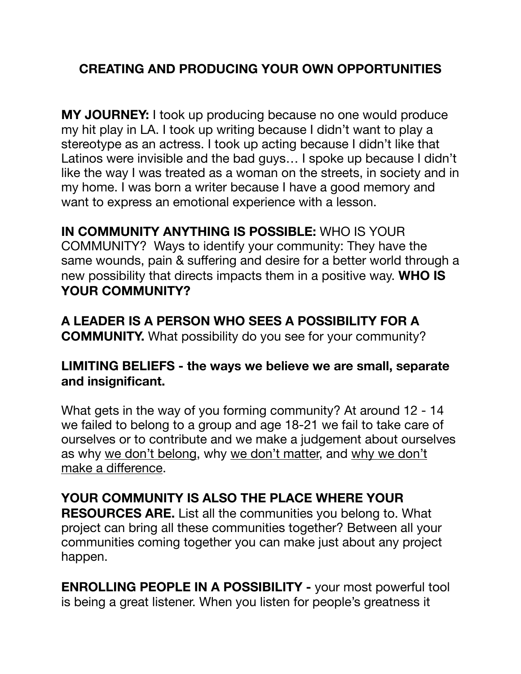## **CREATING AND PRODUCING YOUR OWN OPPORTUNITIES**

**MY JOURNEY:** I took up producing because no one would produce my hit play in LA. I took up writing because I didn't want to play a stereotype as an actress. I took up acting because I didn't like that Latinos were invisible and the bad guys… I spoke up because I didn't like the way I was treated as a woman on the streets, in society and in my home. I was born a writer because I have a good memory and want to express an emotional experience with a lesson.

**IN COMMUNITY ANYTHING IS POSSIBLE:** WHO IS YOUR COMMUNITY? Ways to identify your community: They have the same wounds, pain & suffering and desire for a better world through a new possibility that directs impacts them in a positive way. **WHO IS YOUR COMMUNITY?** 

**A LEADER IS A PERSON WHO SEES A POSSIBILITY FOR A COMMUNITY.** What possibility do you see for your community?

## **LIMITING BELIEFS - the ways we believe we are small, separate and insignificant.**

What gets in the way of you forming community? At around 12 - 14 we failed to belong to a group and age 18-21 we fail to take care of ourselves or to contribute and we make a judgement about ourselves as why we don't belong, why we don't matter, and why we don't make a difference.

## **YOUR COMMUNITY IS ALSO THE PLACE WHERE YOUR**

**RESOURCES ARE.** List all the communities you belong to. What project can bring all these communities together? Between all your communities coming together you can make just about any project happen.

**ENROLLING PEOPLE IN A POSSIBILITY -** your most powerful tool is being a great listener. When you listen for people's greatness it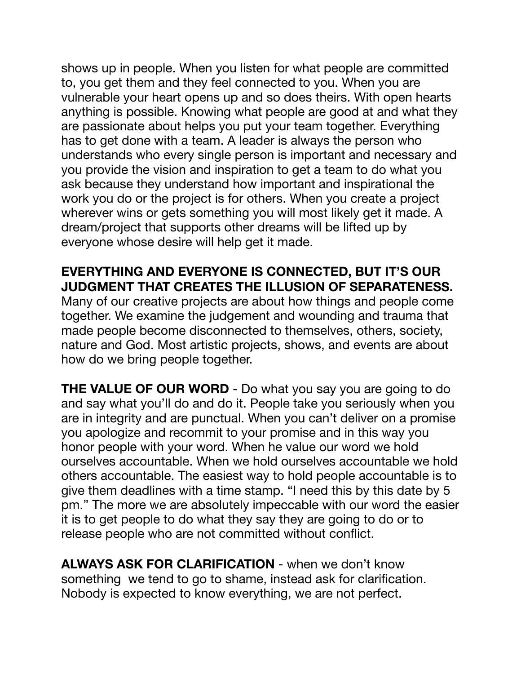shows up in people. When you listen for what people are committed to, you get them and they feel connected to you. When you are vulnerable your heart opens up and so does theirs. With open hearts anything is possible. Knowing what people are good at and what they are passionate about helps you put your team together. Everything has to get done with a team. A leader is always the person who understands who every single person is important and necessary and you provide the vision and inspiration to get a team to do what you ask because they understand how important and inspirational the work you do or the project is for others. When you create a project wherever wins or gets something you will most likely get it made. A dream/project that supports other dreams will be lifted up by everyone whose desire will help get it made.

**EVERYTHING AND EVERYONE IS CONNECTED, BUT IT'S OUR JUDGMENT THAT CREATES THE ILLUSION OF SEPARATENESS.** Many of our creative projects are about how things and people come together. We examine the judgement and wounding and trauma that made people become disconnected to themselves, others, society, nature and God. Most artistic projects, shows, and events are about how do we bring people together.

**THE VALUE OF OUR WORD** - Do what you say you are going to do and say what you'll do and do it. People take you seriously when you are in integrity and are punctual. When you can't deliver on a promise you apologize and recommit to your promise and in this way you honor people with your word. When he value our word we hold ourselves accountable. When we hold ourselves accountable we hold others accountable. The easiest way to hold people accountable is to give them deadlines with a time stamp. "I need this by this date by 5 pm." The more we are absolutely impeccable with our word the easier it is to get people to do what they say they are going to do or to release people who are not committed without conflict.

**ALWAYS ASK FOR CLARIFICATION** - when we don't know something we tend to go to shame, instead ask for clarification. Nobody is expected to know everything, we are not perfect.